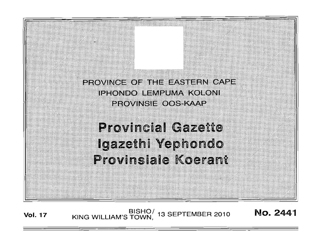PROVINCE OF THE EASTERN CAPE **IPHONDO LEMPUMA KOLONI PROVINSIE OOS KAAP** 

**Provincial Gazette** Igazethi Yephondo Provinsiale Koerant

BISHO/ 13 SEPTEMBER 2010<br>KING WILLIAM'S TOWN, 13 SEPTEMBER 2010 No. 2441 **Vol. 17**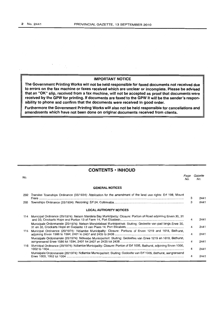#### **IMPORTANT NOTICE**

**The Government Printing Works will not be held responsible for faxed documents not received due to errors on the fax machine or faxes received which are unclear or incomplete. Please be advised that an "OK" slip, received from a fax machine, will not be accepted as proof that documents were received by the GPW for printing. If documents are faxed to the GPW it will be the sender's responsibility to phone and confirm that the documents were received in good order.** 

**Furthermore the Government Printing Works will also not be held responsible for cancellations and amendments which have not been done on original documents received from** 

# **CONTENTS • INHOUD**

| No. |                                                                                                                        | Page<br>No. | Gazette<br>No. |
|-----|------------------------------------------------------------------------------------------------------------------------|-------------|----------------|
|     | <b>GENERAL NOTICES</b>                                                                                                 |             |                |
| 292 | Transkei Townships Ordinance (33/1934): Application for the amendment of the land use rights: Erf 198, Mount           | 3           | 2441           |
| 293 |                                                                                                                        | з           | 2441           |
|     | <b>LOCAL AUTHORITY NOTICES</b>                                                                                         |             |                |
| 114 | Municipal Ordinance (20/1974): Nelson Mandela Bay Municipality: Closure: Portion of Road adjoining Erven 30, 31        | 4           | 2441           |
|     | Munisipale Ordonnansie (20/1974): Nelson Mandelabaai Munisipaliteit: Sluiting: Gedeelte van pad langs Erwe 30,         | 4           | 2441           |
| 115 | Municipal Ordinance (20/1974): Ndlambe Municipality: Closure: Portions of Erven 1219 and 1618, Bathurst,               | 4           | 2441           |
|     | Munisipale Ordonnansie (20/1974): Ndlambe Munisipaliteit: Sluiting: Gedeeltes van Erwe 1219 en 1618, Bathurst,         | 4           | 2441           |
|     | 116 Municipal Ordinance (20/1974): Ndlambe Municipality: Closure: Portion of Erf 1005, Bathurst, adjoining Erven 1000, | 4           | 2441           |
|     | Munisipale Ordonnansie (20/1974): Ndlambe Munisipaliteit: Sluiting: Gedeelte van Erf 1005, Bathurst, aangrensend       | 4           | 2441           |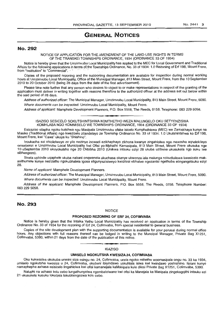# **GENERAL NOTICES**

## No. 292

NOTICE OF APPLICATION FOR THE AMENDMENT OF THE LAND-USE RIGHTS IN TERMS OF THE TRANSKEI TOWNSHIPS ORDINANCE, 1934 (ORDINANCE 33 OF 1934)

Notice is hereby given that the Umzimvubu Local Municipality has applied to the MEC for Local Government and Traditional Affairs for the following applications in terms of,the Townships Ordinance, No. 33 of 1934: 1.0 Rezoning of Erf 198, Mount Frere, from "Institution" to "Commercial".

Copies of the proposed rezoning and the supporting documentation are available for inspection during normal working hours at Umzimvubu Local Municipality, Office of the Municipal Manager, 813 Main Street, Mount Frere, from the 10 September 2010 to 20 October 2010 (being 28 days from the date of the first advertisement).

Please take note further that any person who desires to object to or make representations in respect of the granting of the application must deliver in writing together with reasons therefore to the authorized officer at the address set out below within the said period of 28 days.

Address of authorized officer: The Municipal Manager, Umzimvubu Local Municipality, 813 Main Street, Mount Frere, 5090. Where documents can be inspected: Umzimvubu Local Municipality, Mount Frere.

Address of applicant: Mamphele Development Planners, P.O. Box 5558, The Reeds, 0158. Telephone: 083 229 5058. **1'" •** 

ISAZISO SESICELO SOKUTSHINTSHWA KOMTHETHO WEZA MALUNGELO OKU SETYENZISWA KOMHLABA NGO KOMMISELO WE TOWNSHIPS ORDINANCE, 1934 (ORDINANCE 33 OF 1934)

Esizaziso silapha ngoku kutshwa ngu Masipala Umzimvubu ofake isicelo Kumphathiswa (MEG) we Zamakhaya kunye na Masiko (Traditional Affairs) ngo kwezicelo zilandelayo ze Township Ordinance No. 33 of 1934: 1.0 Ukutshintshwa ko Erf 198, Mount Frere, kwi "Cawa" ukuya ku "Shishino".

Incukacha ezi shicilelweyo zo yilo nezinye incwadi ezikhaphayo zikhona kwanye zingahlolwa nga maxesha aqhelekileyo omsebenzi e Umzimvubu Local Municipality kwi Ofisi yo-Mphathi Kamasipala, 813 Main Street, Mount Frere ukusuka nge 10 uSeptemba 2010 ukuyokutsho nge 20 Oktobha 2010 (Unikwa intsuku eziyi 28 ukuba uzibone ukusukela ngo suku Iwe sibhengezo).

Sicela uphinde uqaphele ukuba nabani onqwenela ukuchasa okanye ukwenza iala malunga nokudluliswa kwesicelo makasithumele kunye nezizathu ngokubhalela igosa eligunyazisiweyo kwidilesi ebhalwe ngezantsi ngethuba elingangetsuku eziyi 28.

Name of applicant: Mamphele Development Planners.

Address of authorized officer: The Municipal Manager, Umzimvubu Local Municipality, 813 Main Street, Mount Frere, 5090. Where documents can be inspected: Umzimvubu Local Municipality, Mount Frere.

Address of the applicant: Mamphele Development Planners, P.O. Box 5558, The Reeds, 0158. Telephone Number: 083 229 5058.

# No. 293

#### NOTICE

## PROPOSED REZONING OF ERF 24, COFIMVABA

Notice is hereby given that the Intsika Yethu Local Municipality has received an application in terms of the Township Ordinance No. 33 of 1934 for the rezoning of Erf 24, Cofimvaba, from special residential to general business.

Copies of the site development plan with the supporting documentation is available for your perusal during normal office hours. Any objections with full reasons thereof can be lodged in writing to the Muncipal Manager, Private 8ag X1251, Cofimvaba, 5380, within 21 days from the date of the publication of this notice. . **-.** ISAZISO

#### UMISELO NGOKUTSHA KWESIZA 24, COFIMVABA

Oku kukwazisa okokuba umnini siza esingu no. 24, Cofimvaba, ucela ngoko mthetho woomasipala ongu no. 33 ka 1934, umiselo ngokutsha kwesiza u 24, Cofimvaba, ekubeni ibiyindawo yokuhlala isiwa kwi kwindawo yoshishino. liplani kunye namaphepha axhasa esisicelo lingahlolwa kwi otisi kamanejala kaMasipala kule dilesi Private 8ag X1251, Cofimvaba, 5380.

Naluphi na uchaso kolu cebo lungathunyelwa ngembalelwano kwi ofisi ka Manejala ka Masipala zingekagqithi intsuku ezi 21 ukusukela kusuku lokuqala lokubhengezwa kolu cebo.